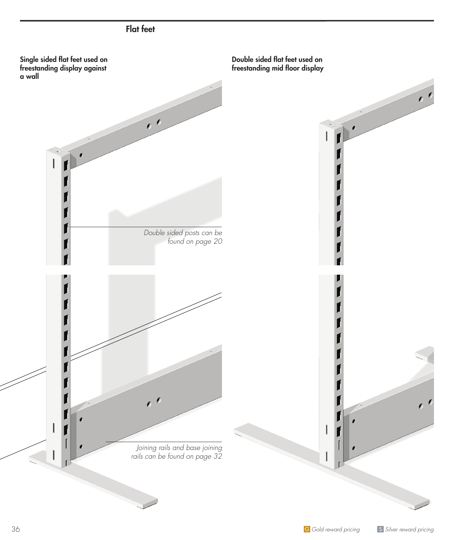